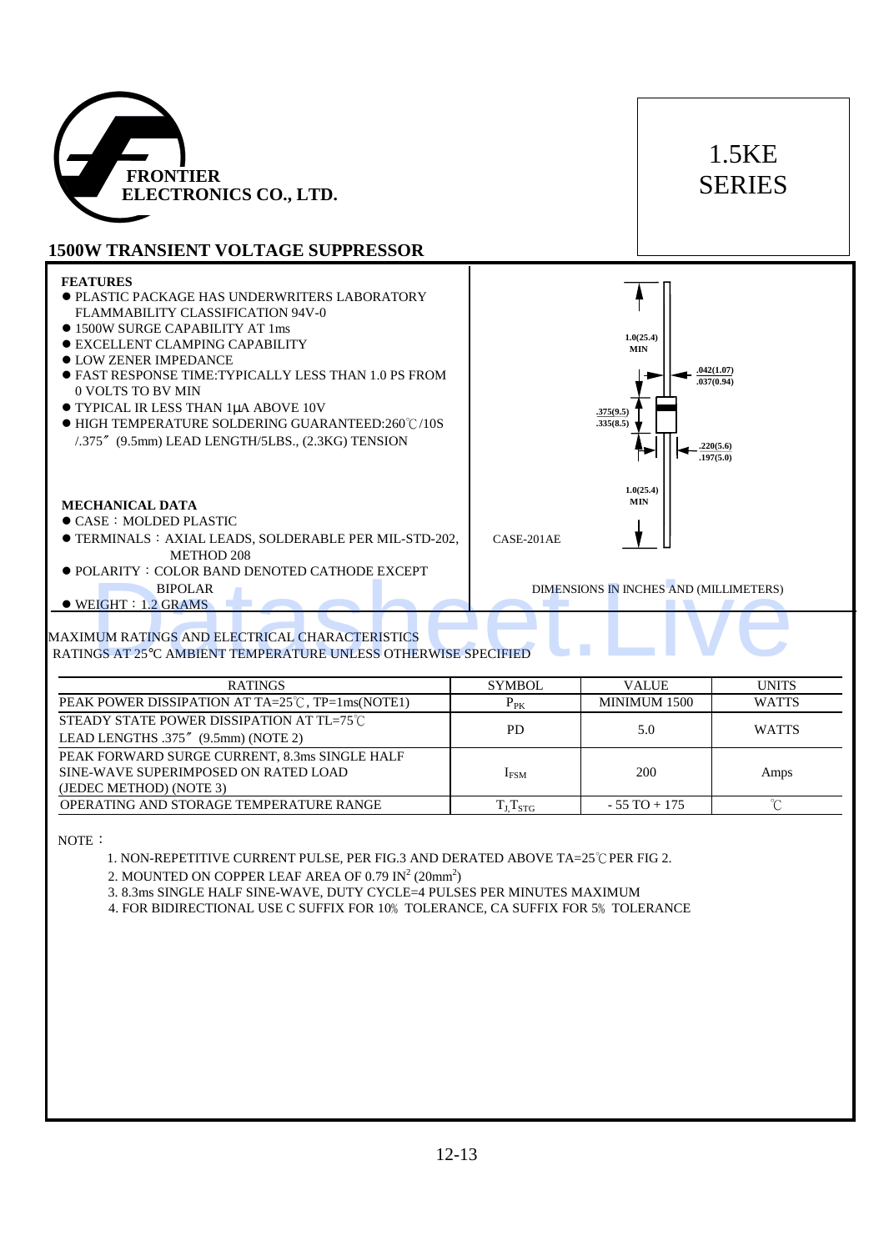

# 1.5KE SERIES

### **1500W TRANSIENT VOLTAGE SUPPRESSOR**

### **FEATURES**

- ! PLASTIC PACKAGE HAS UNDERWRITERS LABORATORY FLAMMABILITY CLASSIFICATION 94V-0
- $\bullet$  1500W SURGE CAPABILITY AT 1ms
- $\bullet$  EXCELLENT CLAMPING CAPABILITY
- $\bullet$  LOW ZENER IMPEDANCE
- ! FAST RESPONSE TIME:TYPICALLY LESS THAN 1.0 PS FROM 0 VOLTS TO BV MIN
- **TYPICAL IR LESS THAN 1µA ABOVE 10V**
- ! HIGH TEMPERATURE SOLDERING GUARANTEED:260℃/10S /.375〞(9.5mm) LEAD LENGTH/5LBS., (2.3KG) TENSION

#### **MECHANICAL DATA**

- $\bullet$  CASE: MOLDED PLASTIC
- ! TERMINALS︰AXIAL LEADS, SOLDERABLE PER MIL-STD-202, CASE-201AE METHOD 208
- ! POLARITY:COLOR BAND DENOTED CATHODE EXCEPT BIPOLAR DIMENSIONS IN INCHES AND (MILLIMETERS)
- $\bullet$  WEIGHT: 1.2 GRAMS



#### MAXIMUM RATINGS AND ELECTRICAL CHARACTERISTICS RATINGS AT 25°C AMBIENT TEMPERATURE UNLESS OTHERWISE SPECIFIED

| ● POLARITY • COLOR BAND DENOTED CATHODE EXCEPT<br><b>BIPOLAR</b><br>$\bullet$ WEIGHT : 1.2 GRAMS                                                           |                 | DIMENSIONS IN INCHES AND (MILLIMETERS) |              |  |  |
|------------------------------------------------------------------------------------------------------------------------------------------------------------|-----------------|----------------------------------------|--------------|--|--|
| MAXIMUM RATINGS AND ELECTRICAL CHARACTERISTICS<br>RATINGS AT 25°C AMBIENT TEMPERATURE UNLESS OTHERWISE SPECIFIED                                           |                 |                                        |              |  |  |
| <b>RATINGS</b>                                                                                                                                             | <b>SYMBOL</b>   | <b>VALUE</b>                           | <b>UNITS</b> |  |  |
| PEAK POWER DISSIPATION AT TA=25℃, TP=1ms(NOTE1)                                                                                                            | $P_{PK}$        | MINIMUM 1500                           | <b>WATTS</b> |  |  |
| STEADY STATE POWER DISSIPATION AT TL=75°C<br>LEAD LENGTHS .375" (9.5mm) (NOTE 2)                                                                           | <b>PD</b>       | 5.0                                    | <b>WATTS</b> |  |  |
| PEAK FORWARD SURGE CURRENT, 8.3ms SINGLE HALF<br>SINE-WAVE SUPERIMPOSED ON RATED LOAD<br>(JEDEC METHOD) (NOTE 3)                                           | $I_{FSM}$       | 200                                    | Amps         |  |  |
| OPERATING AND STORAGE TEMPERATURE RANGE                                                                                                                    | $T_J$ $T_{STG}$ | $-55$ TO $+175$                        | $\mathrm{C}$ |  |  |
| 3. 8.3ms SINGLE HALF SINE-WAVE, DUTY CYCLE=4 PULSES PER MINUTES MAXIMUM<br>4. FOR BIDIRECTIONAL USE C SUFFIX FOR 10% TOLERANCE, CA SUFFIX FOR 5% TOLERANCE |                 |                                        |              |  |  |
|                                                                                                                                                            |                 |                                        |              |  |  |
|                                                                                                                                                            | $12 - 13$       |                                        |              |  |  |

 $\overline{\phantom{a}}$ 

 $\overline{\phantom{a}}$  $\overline{\phantom{a}}$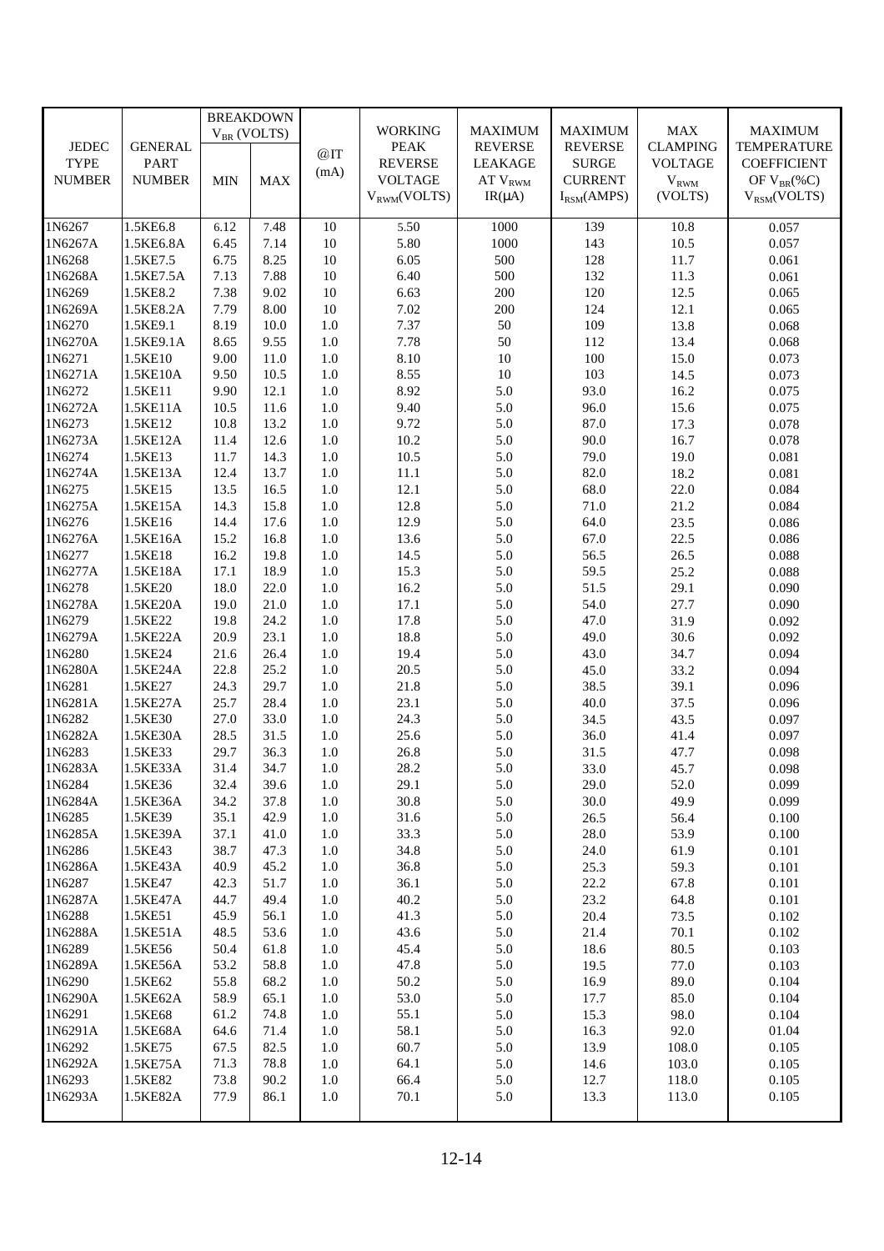|                   |                       | <b>BREAKDOWN</b> |              |            |                  |                          |                 |                 |                    |
|-------------------|-----------------------|------------------|--------------|------------|------------------|--------------------------|-----------------|-----------------|--------------------|
|                   |                       | $V_{BR}$ (VOLTS) |              |            | <b>WORKING</b>   | <b>MAXIMUM</b>           | <b>MAXIMUM</b>  | MAX             | <b>MAXIMUM</b>     |
| <b>JEDEC</b>      | <b>GENERAL</b>        |                  |              | @IT        | <b>PEAK</b>      | <b>REVERSE</b>           | <b>REVERSE</b>  | <b>CLAMPING</b> | <b>TEMPERATURE</b> |
| <b>TYPE</b>       | <b>PART</b>           |                  |              | (mA)       | <b>REVERSE</b>   | <b>LEAKAGE</b>           | <b>SURGE</b>    | <b>VOLTAGE</b>  | <b>COEFFICIENT</b> |
| <b>NUMBER</b>     | <b>NUMBER</b>         | <b>MIN</b>       | <b>MAX</b>   |            | <b>VOLTAGE</b>   | $AT$ $\rm{V}_{\rm{RWM}}$ | <b>CURRENT</b>  | $V_{RWM}$       | OF $V_{BR}(\%C)$   |
|                   |                       |                  |              |            | $V_{RWM}(VOLTS)$ | $IR(\mu A)$              | $I_{RSM}(AMPS)$ | (VOLTS)         | $V_{RSM}(VOLTS)$   |
|                   |                       |                  |              |            |                  |                          |                 |                 |                    |
| 1N6267            | 1.5KE6.8              | 6.12             | 7.48         | 10         | 5.50             | 1000                     | 139             | 10.8            | 0.057              |
| 1N6267A           | 1.5KE6.8A             | 6.45             | 7.14         | 10         | 5.80             | 1000                     | 143             | 10.5            | 0.057              |
| 1N6268            | 1.5KE7.5              | 6.75             | 8.25         | 10         | 6.05             | 500                      | 128             | 11.7            | 0.061              |
| 1N6268A<br>1N6269 | 1.5KE7.5A             | 7.13             | 7.88         | 10         | 6.40<br>6.63     | 500<br>200               | 132<br>120      | 11.3            | 0.061              |
| 1N6269A           | 1.5KE8.2<br>1.5KE8.2A | 7.38<br>7.79     | 9.02<br>8.00 | 10<br>10   | 7.02             | $200\,$                  | 124             | 12.5<br>12.1    | 0.065<br>0.065     |
| 1N6270            | 1.5KE9.1              | 8.19             | 10.0         | 1.0        | 7.37             | 50                       | 109             | 13.8            | 0.068              |
| 1N6270A           | 1.5KE9.1A             | 8.65             | 9.55         | $1.0\,$    | 7.78             | 50                       | 112             | 13.4            | 0.068              |
| 1N6271            | 1.5KE10               | 9.00             | 11.0         | 1.0        | 8.10             | 10                       | 100             | 15.0            | 0.073              |
| 1N6271A           | 1.5KE10A              | 9.50             | 10.5         | 1.0        | 8.55             | 10                       | 103             | 14.5            | 0.073              |
| 1N6272            | 1.5KE11               | 9.90             | 12.1         | $1.0\,$    | 8.92             | 5.0                      | 93.0            | 16.2            | 0.075              |
| 1N6272A           | 1.5KE11A              | 10.5             | 11.6         | 1.0        | 9.40             | 5.0                      | 96.0            | 15.6            | 0.075              |
| 1N6273            | 1.5KE12               | 10.8             | 13.2         | 1.0        | 9.72             | 5.0                      | 87.0            | 17.3            | 0.078              |
| 1N6273A           | 1.5KE12A              | 11.4             | 12.6         | $1.0\,$    | 10.2             | 5.0                      | 90.0            | 16.7            | 0.078              |
| 1N6274            | 1.5KE13               | 11.7             | 14.3         | 1.0        | 10.5             | 5.0                      | 79.0            | 19.0            | 0.081              |
| 1N6274A           | 1.5KE13A              | 12.4             | 13.7         | 1.0        | $11.1\,$         | 5.0                      | 82.0            | 18.2            | 0.081              |
| 1N6275            | 1.5KE15               | 13.5             | 16.5         | $1.0\,$    | 12.1             | 5.0                      | 68.0            | 22.0            | 0.084              |
| 1N6275A           | 1.5KE15A              | 14.3             | 15.8         | $1.0\,$    | 12.8             | 5.0                      | 71.0            | 21.2            | 0.084              |
| 1N6276            | 1.5KE16               | 14.4             | 17.6         | 1.0        | 12.9             | 5.0                      | 64.0            | 23.5            | 0.086              |
| 1N6276A           | 1.5KE16A              | 15.2             | 16.8         | $1.0\,$    | 13.6             | 5.0                      | 67.0            | 22.5            | 0.086              |
| 1N6277            | 1.5KE18               | 16.2             | 19.8         | $1.0\,$    | 14.5             | 5.0                      | 56.5            | 26.5            | 0.088              |
| 1N6277A           | 1.5KE18A              | 17.1             | 18.9         | 1.0        | 15.3             | 5.0                      | 59.5            | 25.2            | 0.088              |
| 1N6278            | 1.5KE20               | 18.0             | 22.0         | 1.0        | 16.2             | 5.0                      | 51.5            | 29.1            | 0.090              |
| 1N6278A           | 1.5KE20A              | 19.0             | 21.0         | $1.0\,$    | 17.1             | 5.0                      | 54.0            | 27.7            | 0.090              |
| 1N6279            | 1.5KE22               | 19.8             | 24.2         | $1.0\,$    | 17.8             | 5.0                      | 47.0            | 31.9            | 0.092              |
| 1N6279A           | 1.5KE22A              | 20.9             | 23.1         | $1.0\,$    | 18.8             | 5.0                      | 49.0            | 30.6            | 0.092              |
| 1N6280            | 1.5KE24               | 21.6             | 26.4         | 1.0        | 19.4             | 5.0                      | 43.0            | 34.7            | 0.094              |
| 1N6280A           | 1.5KE24A              | 22.8             | 25.2         | 1.0        | 20.5             | 5.0                      | 45.0            | 33.2            | 0.094              |
| 1N6281            | 1.5KE27               | 24.3             | 29.7         | $1.0\,$    | 21.8             | 5.0                      | 38.5            | 39.1            | 0.096              |
| 1N6281A           | 1.5KE27A              | 25.7             | 28.4         | $1.0\,$    | 23.1             | 5.0                      | 40.0            | 37.5            | 0.096              |
| 1N6282            | 1.5KE30               | 27.0             | 33.0         | $1.0\,$    | 24.3             | 5.0                      | 34.5            | 43.5            | 0.097              |
| 1N6282A           | 1.5KE30A              | 28.5             | 31.5         | 1.0        | 25.6             | 5.0                      | 36.0            | 41.4            | 0.097              |
| 1N6283            | 1.5KE33               | 29.7             | 36.3         | 1.0        | 26.8             | 5.0                      | 31.5            | 47.7            | 0.098              |
| 1N6283A           | 1.5KE33A              | 31.4             | 34.7         | 1.0        | 28.2             | 5.0                      | 33.0            | 45.7            | 0.098              |
| 1N6284            | 1.5KE36               | 32.4             | 39.6         | 1.0        | 29.1             | 5.0                      | 29.0            | 52.0            | 0.099              |
| 1N6284A           | 1.5KE36A              | 34.2             | 37.8         | $1.0\,$    | 30.8             | 5.0                      | 30.0            | 49.9            | 0.099              |
| 1N6285            | 1.5KE39               | 35.1             | 42.9         | $1.0\,$    | 31.6             | 5.0                      | 26.5            | 56.4            | 0.100              |
| 1N6285A           | 1.5KE39A              | 37.1             | 41.0         | 1.0        | 33.3             | 5.0                      | 28.0            | 53.9            | 0.100              |
| 1N6286            | 1.5KE43               | 38.7             | 47.3         | $1.0\,$    | 34.8             | 5.0                      | 24.0            | 61.9            | 0.101              |
| 1N6286A           | 1.5KE43A              | 40.9             | 45.2         | 1.0        | 36.8             | 5.0                      | 25.3            | 59.3            | 0.101              |
| 1N6287            | 1.5KE47               | 42.3             | 51.7         | 1.0        | 36.1             | 5.0                      | 22.2            | 67.8            | 0.101              |
| 1N6287A           | 1.5KE47A              | 44.7             | 49.4         | $1.0\,$    | 40.2             | 5.0                      | 23.2            | 64.8            | 0.101              |
| 1N6288            | 1.5KE51               | 45.9             | 56.1         | $1.0\,$    | 41.3             | 5.0                      | 20.4            | 73.5            | 0.102              |
| 1N6288A           | 1.5KE51A              | 48.5             | 53.6         | 1.0        | 43.6             | 5.0                      | 21.4            | 70.1            | 0.102              |
| 1N6289            | 1.5KE56               | 50.4             | 61.8         | 1.0        | 45.4             | 5.0                      | 18.6            | 80.5            | 0.103              |
| 1N6289A           | 1.5KE56A              | 53.2             | 58.8         | 1.0        | 47.8             | 5.0                      | 19.5            | 77.0            | 0.103              |
| 1N6290            | 1.5KE62               | 55.8             | 68.2         | 1.0        | 50.2             | 5.0                      | 16.9            | 89.0            | 0.104              |
| 1N6290A           | 1.5KE62A              | 58.9             | 65.1         | $1.0\,$    | 53.0             | 5.0                      | 17.7            | 85.0            | 0.104              |
| 1N6291            | 1.5KE68               | 61.2             | 74.8         | $1.0\,$    | 55.1             | 5.0                      | 15.3            | 98.0            | 0.104              |
| 1N6291A<br>1N6292 | 1.5KE68A              | 64.6<br>67.5     | 71.4         | 1.0        | 58.1<br>60.7     | 5.0<br>5.0               | 16.3<br>13.9    | 92.0<br>108.0   | 01.04<br>0.105     |
| 1N6292A           | 1.5KE75<br>1.5KE75A   | 71.3             | 82.5<br>78.8 | 1.0<br>1.0 | 64.1             | 5.0                      | 14.6            | 103.0           | 0.105              |
| 1N6293            | 1.5KE82               | 73.8             | 90.2         | 1.0        | 66.4             | 5.0                      | 12.7            | 118.0           | 0.105              |
| 1N6293A           | 1.5KE82A              | 77.9             | 86.1         | 1.0        | 70.1             | 5.0                      | 13.3            | 113.0           | 0.105              |
|                   |                       |                  |              |            |                  |                          |                 |                 |                    |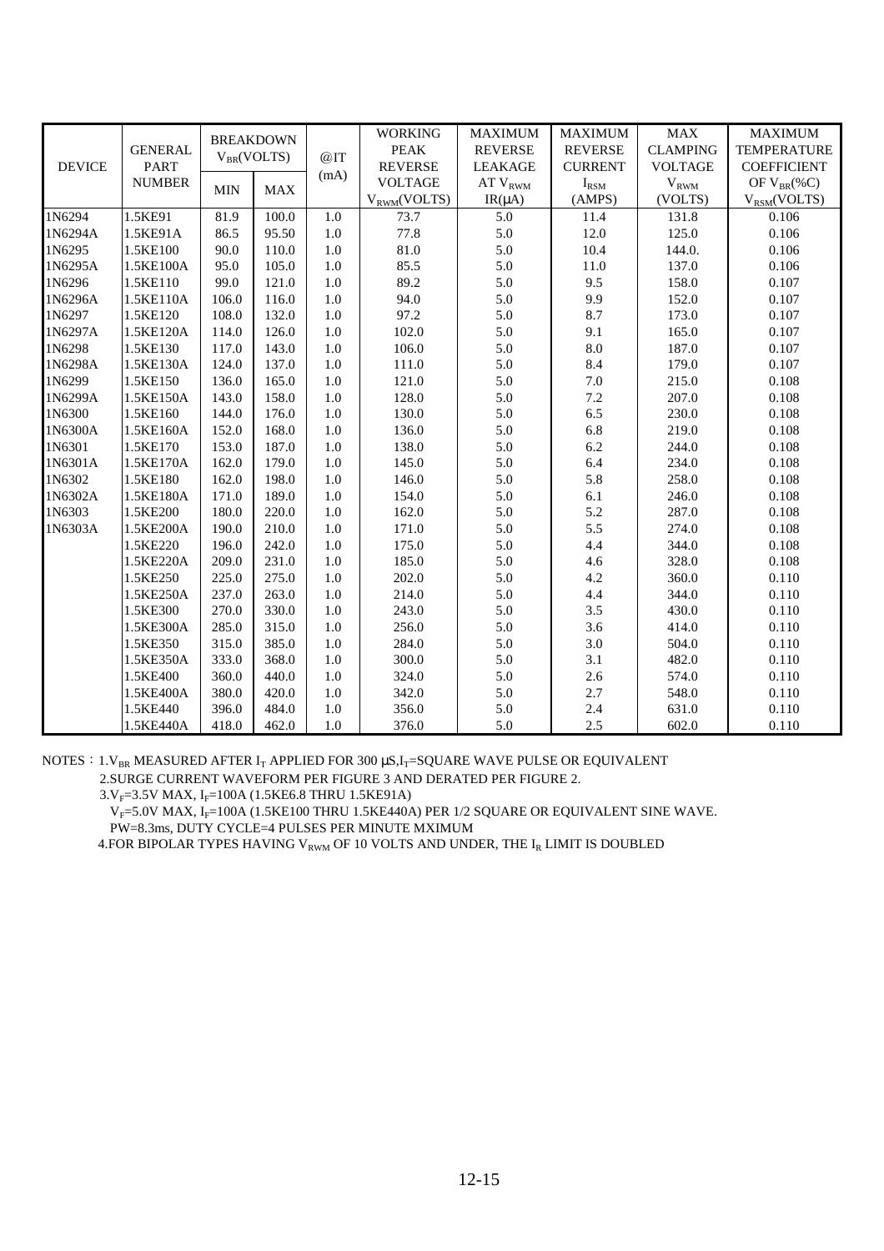| <b>DEVICE</b> | <b>GENERAL</b><br><b>PART</b> | <b>BREAKDOWN</b><br>$V_{BR}(VOLTS)$ |            | @IT     | <b>WORKING</b>   | <b>MAXIMUM</b>     | <b>MAXIMUM</b> | <b>MAX</b>          | <b>MAXIMUM</b>     |
|---------------|-------------------------------|-------------------------------------|------------|---------|------------------|--------------------|----------------|---------------------|--------------------|
|               |                               |                                     |            |         | <b>PEAK</b>      | <b>REVERSE</b>     | <b>REVERSE</b> | <b>CLAMPING</b>     | <b>TEMPERATURE</b> |
|               |                               |                                     |            | (mA)    | <b>REVERSE</b>   | <b>LEAKAGE</b>     | <b>CURRENT</b> | <b>VOLTAGE</b>      | <b>COEFFICIENT</b> |
|               | <b>NUMBER</b>                 | <b>MIN</b>                          | <b>MAX</b> |         | <b>VOLTAGE</b>   | $AT$ $V_{\rm RWM}$ | $I_{\rm RSM}$  | $\rm{V}_{\rm{RWM}}$ | OF $V_{BR}(\%C)$   |
|               |                               |                                     |            |         | $V_{RWM}(VOLTS)$ | $IR(\mu A)$        | (AMPS)         | (VOLTS)             | $V_{RSM}(VOLTS)$   |
| 1N6294        | 1.5KE91                       | 81.9                                | 100.0      | 1.0     | 73.7             | 5.0                | 11.4           | 131.8               | 0.106              |
| 1N6294A       | 1.5KE91A                      | 86.5                                | 95.50      | $1.0\,$ | 77.8             | 5.0                | 12.0           | 125.0               | 0.106              |
| 1N6295        | 1.5KE100                      | 90.0                                | 110.0      | 1.0     | 81.0             | 5.0                | 10.4           | 144.0.              | 0.106              |
| 1N6295A       | 1.5KE100A                     | 95.0                                | 105.0      | 1.0     | 85.5             | 5.0                | 11.0           | 137.0               | 0.106              |
| 1N6296        | 1.5KE110                      | 99.0                                | 121.0      | $1.0\,$ | 89.2             | 5.0                | 9.5            | 158.0               | 0.107              |
| 1N6296A       | 1.5KE110A                     | 106.0                               | 116.0      | 1.0     | 94.0             | 5.0                | 9.9            | 152.0               | 0.107              |
| 1N6297        | 1.5KE120                      | 108.0                               | 132.0      | 1.0     | 97.2             | 5.0                | 8.7            | 173.0               | 0.107              |
| 1N6297A       | 1.5KE120A                     | 114.0                               | 126.0      | $1.0\,$ | 102.0            | 5.0                | 9.1            | 165.0               | 0.107              |
| 1N6298        | 1.5KE130                      | 117.0                               | 143.0      | 1.0     | 106.0            | 5.0                | 8.0            | 187.0               | 0.107              |
| 1N6298A       | 1.5KE130A                     | 124.0                               | 137.0      | $1.0\,$ | 111.0            | 5.0                | 8.4            | 179.0               | 0.107              |
| 1N6299        | 1.5KE150                      | 136.0                               | 165.0      | $1.0\,$ | 121.0            | 5.0                | $7.0\,$        | 215.0               | 0.108              |
| 1N6299A       | 1.5KE150A                     | 143.0                               | 158.0      | 1.0     | 128.0            | 5.0                | 7.2            | 207.0               | 0.108              |
| 1N6300        | 1.5KE160                      | 144.0                               | 176.0      | 1.0     | 130.0            | 5.0                | 6.5            | 230.0               | 0.108              |
| 1N6300A       | 1.5KE160A                     | 152.0                               | 168.0      | 1.0     | 136.0            | 5.0                | 6.8            | 219.0               | 0.108              |
| 1N6301        | 1.5KE170                      | 153.0                               | 187.0      | 1.0     | 138.0            | 5.0                | 6.2            | 244.0               | 0.108              |
| 1N6301A       | 1.5KE170A                     | 162.0                               | 179.0      | $1.0\,$ | 145.0            | 5.0                | 6.4            | 234.0               | 0.108              |
| 1N6302        | 1.5KE180                      | 162.0                               | 198.0      | 1.0     | 146.0            | 5.0                | 5.8            | 258.0               | 0.108              |
| 1N6302A       | 1.5KE180A                     | 171.0                               | 189.0      | 1.0     | 154.0            | 5.0                | 6.1            | 246.0               | 0.108              |
| 1N6303        | 1.5KE200                      | 180.0                               | 220.0      | 1.0     | 162.0            | 5.0                | 5.2            | 287.0               | 0.108              |
| 1N6303A       | 1.5KE200A                     | 190.0                               | 210.0      | 1.0     | 171.0            | 5.0                | 5.5            | 274.0               | 0.108              |
|               | 1.5KE220                      | 196.0                               | 242.0      | 1.0     | 175.0            | 5.0                | 4.4            | 344.0               | 0.108              |
|               | 1.5KE220A                     | 209.0                               | 231.0      | 1.0     | 185.0            | 5.0                | 4.6            | 328.0               | 0.108              |
|               | 1.5KE250                      | 225.0                               | 275.0      | 1.0     | 202.0            | 5.0                | 4.2            | 360.0               | 0.110              |
|               | 1.5KE250A                     | 237.0                               | 263.0      | 1.0     | 214.0            | 5.0                | 4.4            | 344.0               | 0.110              |
|               | 1.5KE300                      | 270.0                               | 330.0      | 1.0     | 243.0            | 5.0                | 3.5            | 430.0               | 0.110              |
|               | 1.5KE300A                     | 285.0                               | 315.0      | $1.0\,$ | 256.0            | 5.0                | 3.6            | 414.0               | 0.110              |
|               | 1.5KE350                      | 315.0                               | 385.0      | 1.0     | 284.0            | 5.0                | 3.0            | 504.0               | 0.110              |
|               | 1.5KE350A                     | 333.0                               | 368.0      | 1.0     | 300.0            | 5.0                | 3.1            | 482.0               | 0.110              |
|               | 1.5KE400                      | 360.0                               | 440.0      | 1.0     | 324.0            | 5.0                | 2.6            | 574.0               | 0.110              |
|               | 1.5KE400A                     | 380.0                               | 420.0      | 1.0     | 342.0            | 5.0                | 2.7            | 548.0               | 0.110              |
|               | 1.5KE440                      | 396.0                               | 484.0      | $1.0\,$ | 356.0            | 5.0                | 2.4            | 631.0               | 0.110              |
|               | 1.5KE440A                     | 418.0                               | 462.0      | 1.0     | 376.0            | 5.0                | 2.5            | 602.0               | 0.110              |

NOTES:  $1.V_{BR}$  MEASURED AFTER I<sub>t</sub> APPLIED FOR 300  $\mu$ S,I<sub>T</sub>=SQUARE WAVE PULSE OR EQUIVALENT 2.SURGE CURRENT WAVEFORM PER FIGURE 3 AND DERATED PER FIGURE 2.

 $3.V_F=3.5V$  MAX,  $I_F=100A$  (1.5KE6.8 THRU 1.5KE91A)

 $V_F$ =5.0V MAX,  $I_F$ =100A (1.5KE100 THRU 1.5KE440A) PER 1/2 SQUARE OR EQUIVALENT SINE WAVE. PW=8.3ms, DUTY CYCLE=4 PULSES PER MINUTE MXIMUM

4. FOR BIPOLAR TYPES HAVING V<sub>RWM</sub> OF 10 VOLTS AND UNDER, THE  $I_R$  LIMIT IS DOUBLED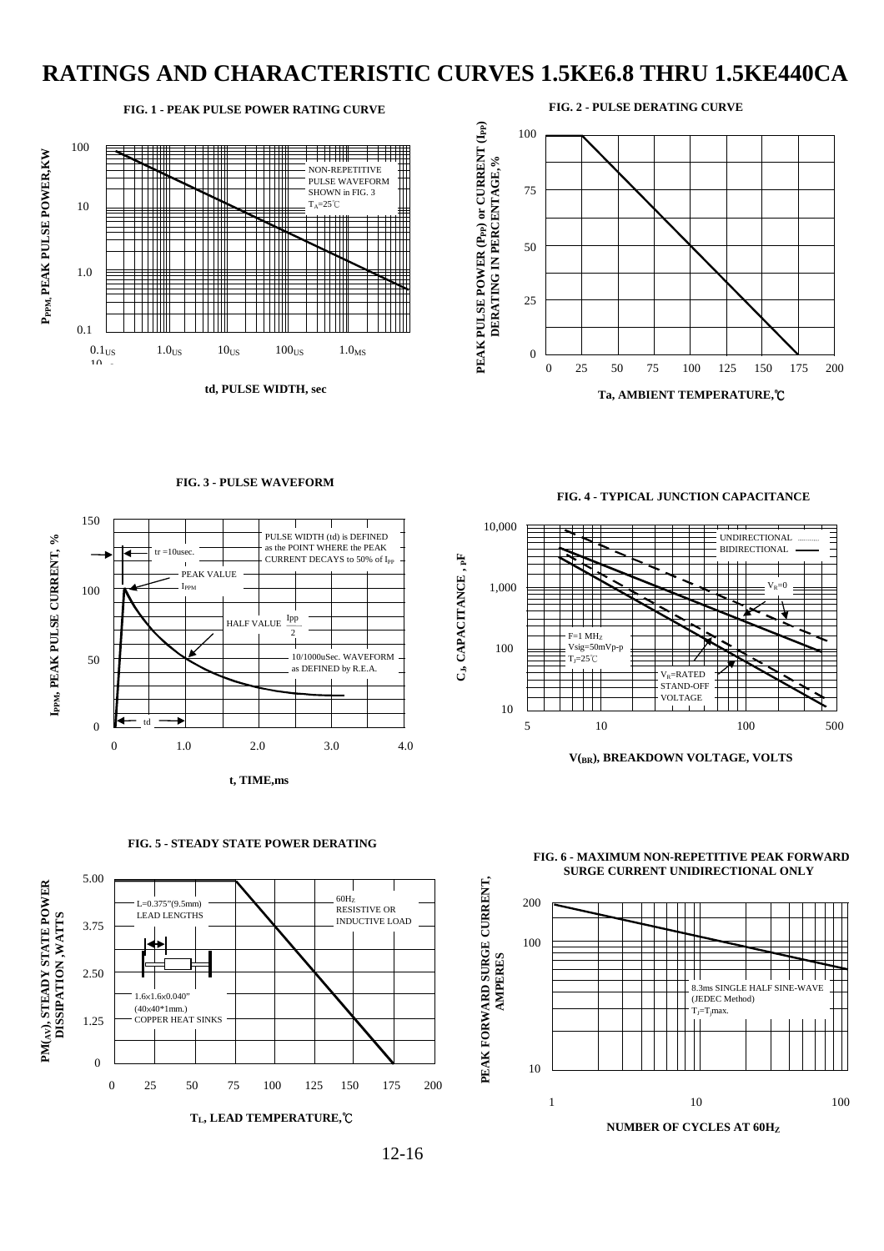## **RATINGS AND CHARACTERISTIC CURVES 1.5KE6.8 THRU 1.5KE440CA**

FIG. 1 - PEAK PULSE POWER RATING CURVE



td. PULSE WIDTH, sec

FIG. 3 - PULSE WAVEFORM

PHI SE WIDTH (td) is DEFINED

as the POINT WHERE the PEAK

CURRENT DECAYS to 50% of I<sub>PP</sub>

150

100

 $tr = 10$ usec

I<sub>PPM</sub>

PEAK VALUE



FIG. 4 - TYPICAL JUNCTION CAPACITANCE



V(RR), BREAKDOWN VOLTAGE, VOLTS











 $12 - 16$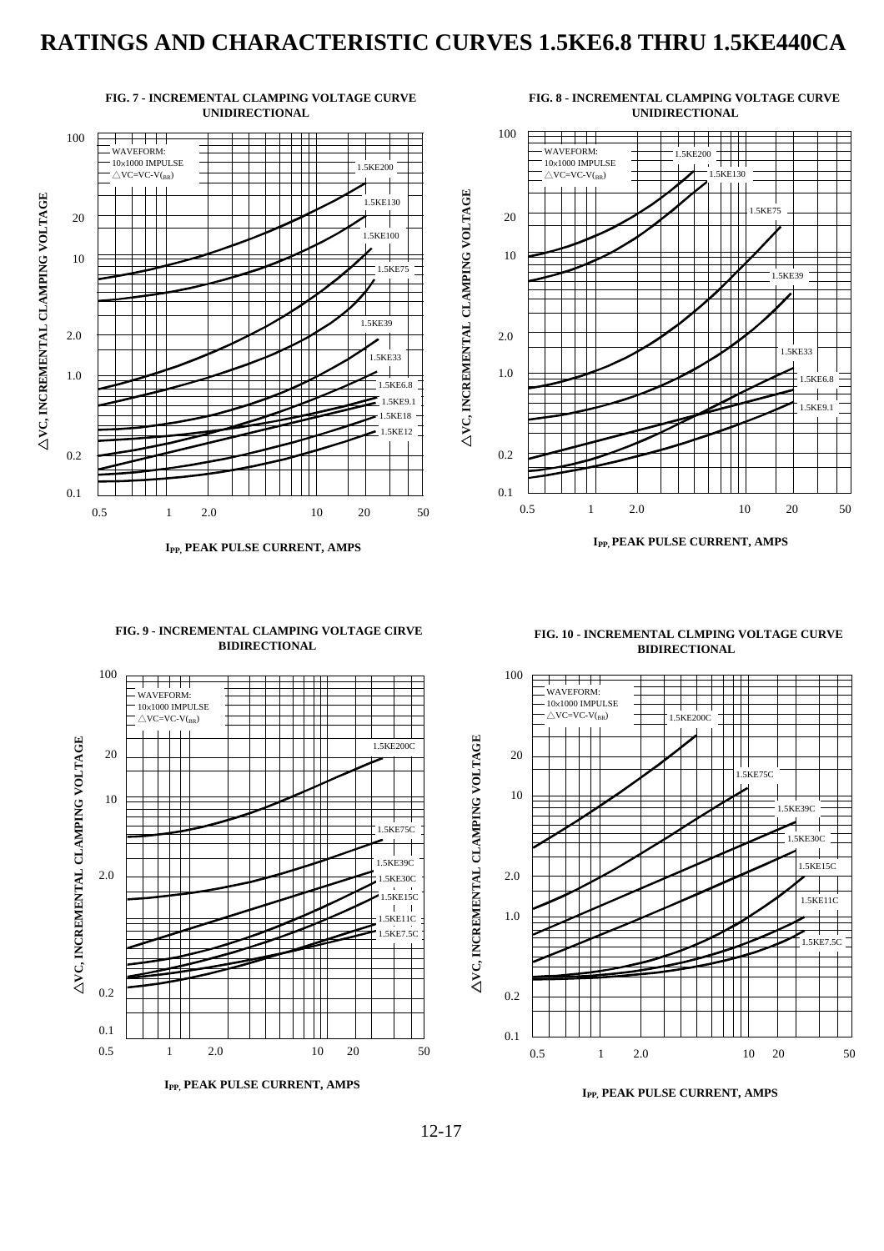## **RATINGS AND CHARACTERISTIC CURVES 1.5KE6.8 THRU 1.5KE440CA**



**IPP, PEAK PULSE CURRENT, AMPS IPP, PEAK PULSE CURRENT, AMPS** 

#### **FIG. 9 - INCREMENTAL CLAMPING VOLTAGE CIRVE BIDIRECTIONAL**



**FIG. 10 - INCREMENTAL CLMPING VOLTAGE CURVE BIDIRECTIONAL**



**IPP, PEAK PULSE CURRENT, AMPS**

12-17